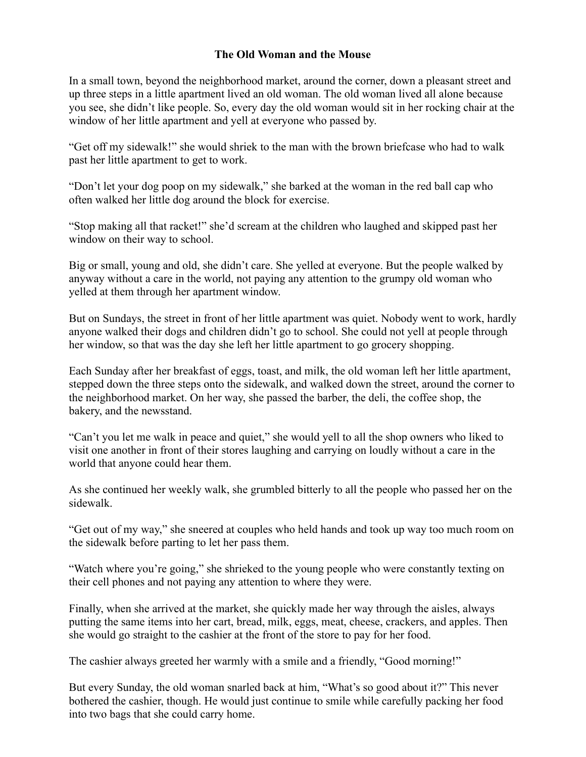## **The Old Woman and the Mouse**

In a small town, beyond the neighborhood market, around the corner, down a pleasant street and up three steps in a little apartment lived an old woman. The old woman lived all alone because you see, she didn't like people. So, every day the old woman would sit in her rocking chair at the window of her little apartment and yell at everyone who passed by.

"Get off my sidewalk!" she would shriek to the man with the brown briefcase who had to walk past her little apartment to get to work.

"Don't let your dog poop on my sidewalk," she barked at the woman in the red ball cap who often walked her little dog around the block for exercise.

"Stop making all that racket!" she'd scream at the children who laughed and skipped past her window on their way to school.

Big or small, young and old, she didn't care. She yelled at everyone. But the people walked by anyway without a care in the world, not paying any attention to the grumpy old woman who yelled at them through her apartment window.

But on Sundays, the street in front of her little apartment was quiet. Nobody went to work, hardly anyone walked their dogs and children didn't go to school. She could not yell at people through her window, so that was the day she left her little apartment to go grocery shopping.

Each Sunday after her breakfast of eggs, toast, and milk, the old woman left her little apartment, stepped down the three steps onto the sidewalk, and walked down the street, around the corner to the neighborhood market. On her way, she passed the barber, the deli, the coffee shop, the bakery, and the newsstand.

"Can't you let me walk in peace and quiet," she would yell to all the shop owners who liked to visit one another in front of their stores laughing and carrying on loudly without a care in the world that anyone could hear them.

As she continued her weekly walk, she grumbled bitterly to all the people who passed her on the sidewalk.

"Get out of my way," she sneered at couples who held hands and took up way too much room on the sidewalk before parting to let her pass them.

"Watch where you're going," she shrieked to the young people who were constantly texting on their cell phones and not paying any attention to where they were.

Finally, when she arrived at the market, she quickly made her way through the aisles, always putting the same items into her cart, bread, milk, eggs, meat, cheese, crackers, and apples. Then she would go straight to the cashier at the front of the store to pay for her food.

The cashier always greeted her warmly with a smile and a friendly, "Good morning!"

But every Sunday, the old woman snarled back at him, "What's so good about it?" This never bothered the cashier, though. He would just continue to smile while carefully packing her food into two bags that she could carry home.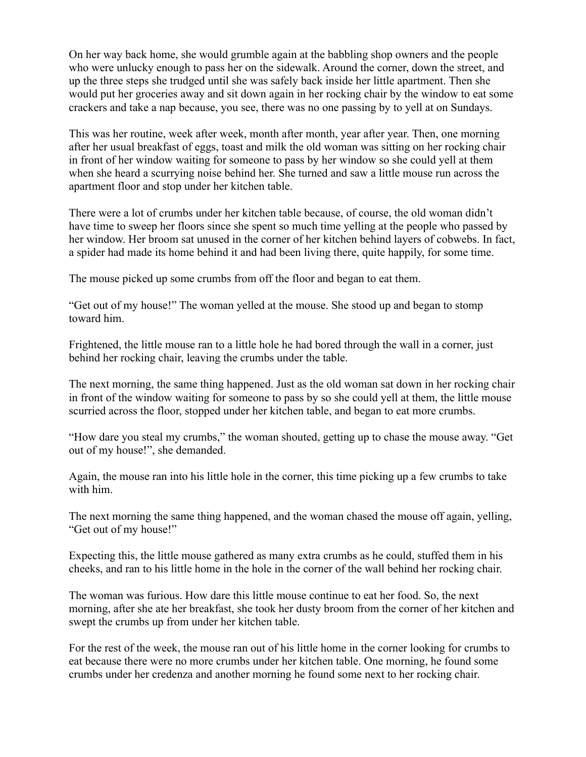On her way back home, she would grumble again at the babbling shop owners and the people who were unlucky enough to pass her on the sidewalk. Around the corner, down the street, and up the three steps she trudged until she was safely back inside her little apartment. Then she would put her groceries away and sit down again in her rocking chair by the window to eat some crackers and take a nap because, you see, there was no one passing by to yell at on Sundays.

This was her routine, week after week, month after month, year after year. Then, one morning after her usual breakfast of eggs, toast and milk the old woman was sitting on her rocking chair in front of her window waiting for someone to pass by her window so she could yell at them when she heard a scurrying noise behind her. She turned and saw a little mouse run across the apartment floor and stop under her kitchen table.

There were a lot of crumbs under her kitchen table because, of course, the old woman didn't have time to sweep her floors since she spent so much time yelling at the people who passed by her window. Her broom sat unused in the corner of her kitchen behind layers of cobwebs. In fact, a spider had made its home behind it and had been living there, quite happily, for some time.

The mouse picked up some crumbs from off the floor and began to eat them.

"Get out of my house!" The woman yelled at the mouse. She stood up and began to stomp toward him.

Frightened, the little mouse ran to a little hole he had bored through the wall in a corner, just behind her rocking chair, leaving the crumbs under the table.

The next morning, the same thing happened. Just as the old woman sat down in her rocking chair in front of the window waiting for someone to pass by so she could yell at them, the little mouse scurried across the floor, stopped under her kitchen table, and began to eat more crumbs.

"How dare you steal my crumbs," the woman shouted, getting up to chase the mouse away. "Get out of my house!", she demanded.

Again, the mouse ran into his little hole in the corner, this time picking up a few crumbs to take with him.

The next morning the same thing happened, and the woman chased the mouse off again, yelling, "Get out of my house!"

Expecting this, the little mouse gathered as many extra crumbs as he could, stuffed them in his cheeks, and ran to his little home in the hole in the corner of the wall behind her rocking chair.

The woman was furious. How dare this little mouse continue to eat her food. So, the next morning, after she ate her breakfast, she took her dusty broom from the corner of her kitchen and swept the crumbs up from under her kitchen table.

For the rest of the week, the mouse ran out of his little home in the corner looking for crumbs to eat because there were no more crumbs under her kitchen table. One morning, he found some crumbs under her credenza and another morning he found some next to her rocking chair.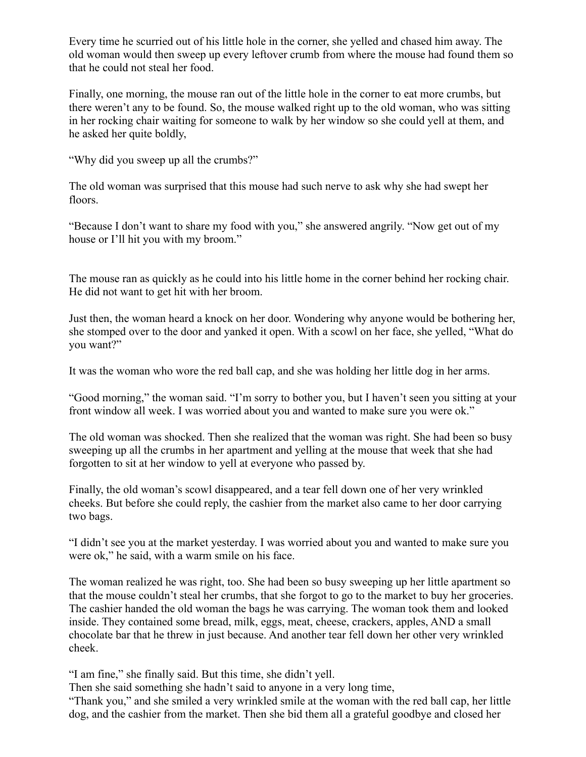Every time he scurried out of his little hole in the corner, she yelled and chased him away. The old woman would then sweep up every leftover crumb from where the mouse had found them so that he could not steal her food.

Finally, one morning, the mouse ran out of the little hole in the corner to eat more crumbs, but there weren't any to be found. So, the mouse walked right up to the old woman, who was sitting in her rocking chair waiting for someone to walk by her window so she could yell at them, and he asked her quite boldly,

"Why did you sweep up all the crumbs?"

The old woman was surprised that this mouse had such nerve to ask why she had swept her floors.

"Because I don't want to share my food with you," she answered angrily. "Now get out of my house or I'll hit you with my broom."

The mouse ran as quickly as he could into his little home in the corner behind her rocking chair. He did not want to get hit with her broom.

Just then, the woman heard a knock on her door. Wondering why anyone would be bothering her, she stomped over to the door and yanked it open. With a scowl on her face, she yelled, "What do you want?"

It was the woman who wore the red ball cap, and she was holding her little dog in her arms.

"Good morning," the woman said. "I'm sorry to bother you, but I haven't seen you sitting at your front window all week. I was worried about you and wanted to make sure you were ok."

The old woman was shocked. Then she realized that the woman was right. She had been so busy sweeping up all the crumbs in her apartment and yelling at the mouse that week that she had forgotten to sit at her window to yell at everyone who passed by.

Finally, the old woman's scowl disappeared, and a tear fell down one of her very wrinkled cheeks. But before she could reply, the cashier from the market also came to her door carrying two bags.

"I didn't see you at the market yesterday. I was worried about you and wanted to make sure you were ok," he said, with a warm smile on his face.

The woman realized he was right, too. She had been so busy sweeping up her little apartment so that the mouse couldn't steal her crumbs, that she forgot to go to the market to buy her groceries. The cashier handed the old woman the bags he was carrying. The woman took them and looked inside. They contained some bread, milk, eggs, meat, cheese, crackers, apples, AND a small chocolate bar that he threw in just because. And another tear fell down her other very wrinkled cheek.

"I am fine," she finally said. But this time, she didn't yell.

Then she said something she hadn't said to anyone in a very long time,

"Thank you," and she smiled a very wrinkled smile at the woman with the red ball cap, her little dog, and the cashier from the market. Then she bid them all a grateful goodbye and closed her